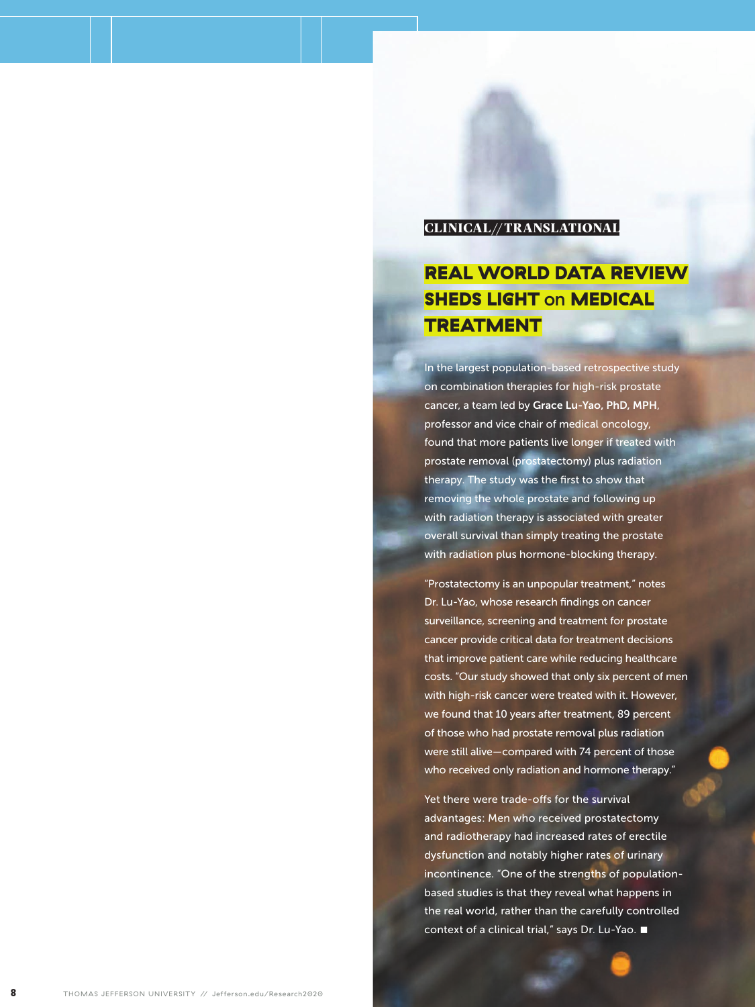## CLINICAL// TRANSLATIONAL

## REAL WORLD DATA REVIEW SHEDS LIGHT on MEDICAL TREATMENT

In the largest population-based retrospective study on combination therapies for high-risk prostate cancer, a team led by Grace Lu-Yao, PhD, MPH, professor and vice chair of medical oncology, found that more patients live longer if treated with prostate removal (prostatectomy) plus radiation therapy. The study was the first to show that removing the whole prostate and following up with radiation therapy is associated with greater overall survival than simply treating the prostate with radiation plus hormone-blocking therapy.

"Prostatectomy is an unpopular treatment," notes Dr. Lu-Yao, whose research findings on cancer surveillance, screening and treatment for prostate cancer provide critical data for treatment decisions that improve patient care while reducing healthcare costs. "Our study showed that only six percent of men with high-risk cancer were treated with it. However, we found that 10 years after treatment, 89 percent of those who had prostate removal plus radiation were still alive—compared with 74 percent of those who received only radiation and hormone therapy."

Yet there were trade-offs for the survival advantages: Men who received prostatectomy and radiotherapy had increased rates of erectile dysfunction and notably higher rates of urinary incontinence. "One of the strengths of populationbased studies is that they reveal what happens in the real world, rather than the carefully controlled context of a clinical trial," says Dr. Lu-Yao.